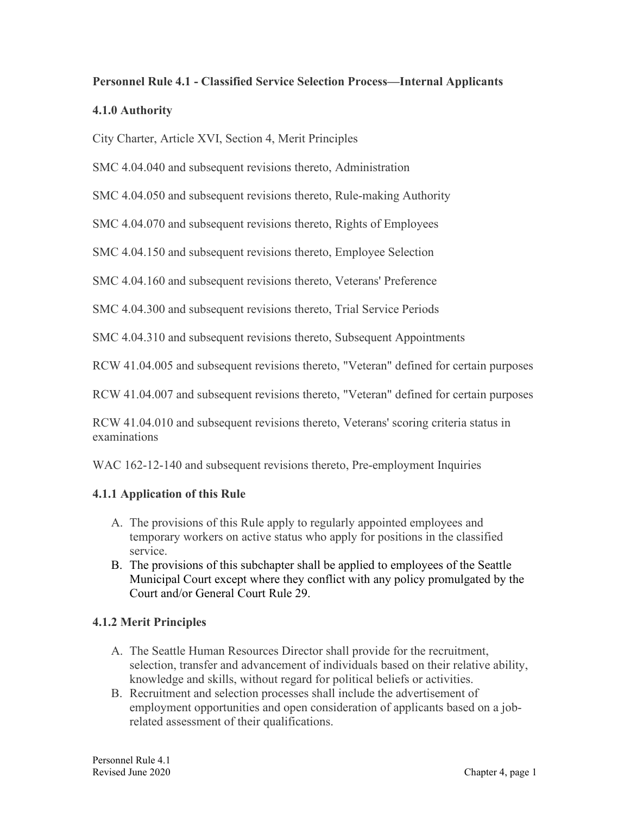# **Personnel Rule 4.1 - Classified Service Selection Process—Internal Applicants**

#### **4.1.0 Authority**

City Charter, Article XVI, Section 4, Merit Principles

SMC 4.04.040 and subsequent revisions thereto, Administration

SMC 4.04.050 and subsequent revisions thereto, Rule-making Authority

SMC 4.04.070 and subsequent revisions thereto, Rights of Employees

SMC 4.04.150 and subsequent revisions thereto, Employee Selection

SMC 4.04.160 and subsequent revisions thereto, Veterans' Preference

SMC 4.04.300 and subsequent revisions thereto, Trial Service Periods

SMC 4.04.310 and subsequent revisions thereto, Subsequent Appointments

RCW 41.04.005 and subsequent revisions thereto, "Veteran" defined for certain purposes

RCW 41.04.007 and subsequent revisions thereto, "Veteran" defined for certain purposes

RCW 41.04.010 and subsequent revisions thereto, Veterans' scoring criteria status in examinations

WAC 162-12-140 and subsequent revisions thereto, Pre-employment Inquiries

#### **4.1.1 Application of this Rule**

- A. The provisions of this Rule apply to regularly appointed employees and temporary workers on active status who apply for positions in the classified service.
- B. The provisions of this subchapter shall be applied to employees of the Seattle Municipal Court except where they conflict with any policy promulgated by the Court and/or General Court Rule 29.

### **4.1.2 Merit Principles**

- A. The Seattle Human Resources Director shall provide for the recruitment, selection, transfer and advancement of individuals based on their relative ability, knowledge and skills, without regard for political beliefs or activities.
- B. Recruitment and selection processes shall include the advertisement of employment opportunities and open consideration of applicants based on a jobrelated assessment of their qualifications.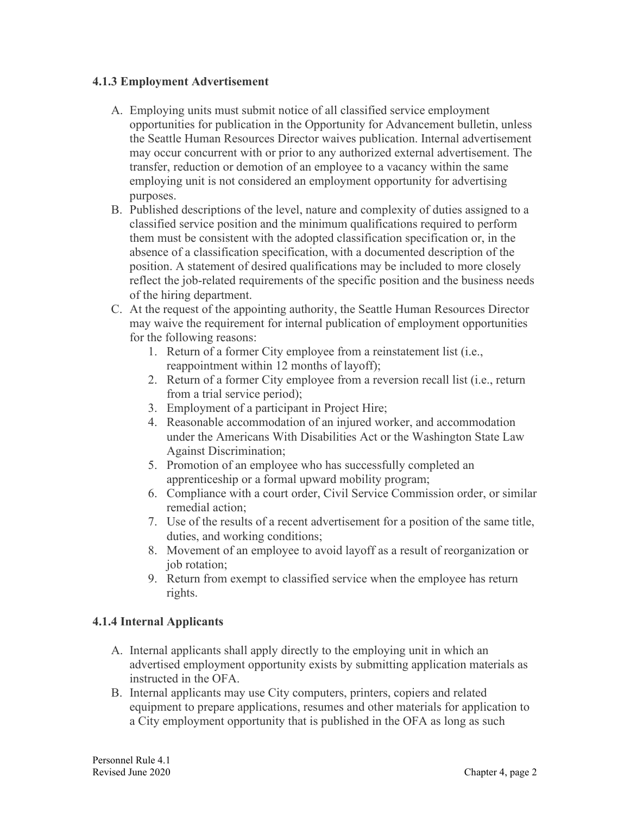#### **4.1.3 Employment Advertisement**

- A. Employing units must submit notice of all classified service employment opportunities for publication in the Opportunity for Advancement bulletin, unless the Seattle Human Resources Director waives publication. Internal advertisement may occur concurrent with or prior to any authorized external advertisement. The transfer, reduction or demotion of an employee to a vacancy within the same employing unit is not considered an employment opportunity for advertising purposes.
- B. Published descriptions of the level, nature and complexity of duties assigned to a classified service position and the minimum qualifications required to perform them must be consistent with the adopted classification specification or, in the absence of a classification specification, with a documented description of the position. A statement of desired qualifications may be included to more closely reflect the job-related requirements of the specific position and the business needs of the hiring department.
- C. At the request of the appointing authority, the Seattle Human Resources Director may waive the requirement for internal publication of employment opportunities for the following reasons:
	- 1. Return of a former City employee from a reinstatement list (i.e., reappointment within 12 months of layoff);
	- 2. Return of a former City employee from a reversion recall list (i.e., return from a trial service period);
	- 3. Employment of a participant in Project Hire;
	- 4. Reasonable accommodation of an injured worker, and accommodation under the Americans With Disabilities Act or the Washington State Law Against Discrimination;
	- 5. Promotion of an employee who has successfully completed an apprenticeship or a formal upward mobility program;
	- 6. Compliance with a court order, Civil Service Commission order, or similar remedial action;
	- 7. Use of the results of a recent advertisement for a position of the same title, duties, and working conditions;
	- 8. Movement of an employee to avoid layoff as a result of reorganization or job rotation;
	- 9. Return from exempt to classified service when the employee has return rights.

### **4.1.4 Internal Applicants**

- A. Internal applicants shall apply directly to the employing unit in which an advertised employment opportunity exists by submitting application materials as instructed in the OFA.
- B. Internal applicants may use City computers, printers, copiers and related equipment to prepare applications, resumes and other materials for application to a City employment opportunity that is published in the OFA as long as such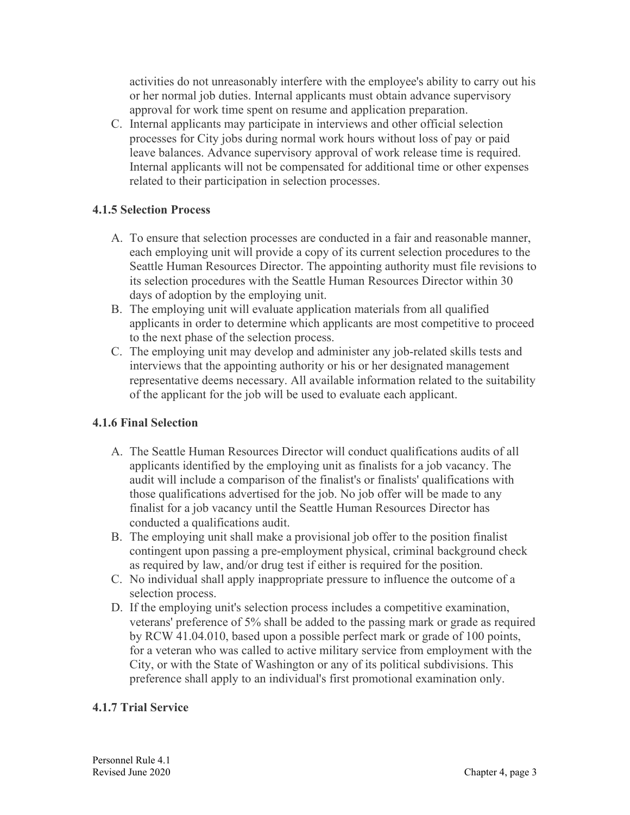activities do not unreasonably interfere with the employee's ability to carry out his or her normal job duties. Internal applicants must obtain advance supervisory approval for work time spent on resume and application preparation.

C. Internal applicants may participate in interviews and other official selection processes for City jobs during normal work hours without loss of pay or paid leave balances. Advance supervisory approval of work release time is required. Internal applicants will not be compensated for additional time or other expenses related to their participation in selection processes.

### **4.1.5 Selection Process**

- A. To ensure that selection processes are conducted in a fair and reasonable manner, each employing unit will provide a copy of its current selection procedures to the Seattle Human Resources Director. The appointing authority must file revisions to its selection procedures with the Seattle Human Resources Director within 30 days of adoption by the employing unit.
- B. The employing unit will evaluate application materials from all qualified applicants in order to determine which applicants are most competitive to proceed to the next phase of the selection process.
- C. The employing unit may develop and administer any job-related skills tests and interviews that the appointing authority or his or her designated management representative deems necessary. All available information related to the suitability of the applicant for the job will be used to evaluate each applicant.

## **4.1.6 Final Selection**

- A. The Seattle Human Resources Director will conduct qualifications audits of all applicants identified by the employing unit as finalists for a job vacancy. The audit will include a comparison of the finalist's or finalists' qualifications with those qualifications advertised for the job. No job offer will be made to any finalist for a job vacancy until the Seattle Human Resources Director has conducted a qualifications audit.
- B. The employing unit shall make a provisional job offer to the position finalist contingent upon passing a pre-employment physical, criminal background check as required by law, and/or drug test if either is required for the position.
- C. No individual shall apply inappropriate pressure to influence the outcome of a selection process.
- D. If the employing unit's selection process includes a competitive examination, veterans' preference of 5% shall be added to the passing mark or grade as required by RCW 41.04.010, based upon a possible perfect mark or grade of 100 points, for a veteran who was called to active military service from employment with the City, or with the State of Washington or any of its political subdivisions. This preference shall apply to an individual's first promotional examination only.

## **4.1.7 Trial Service**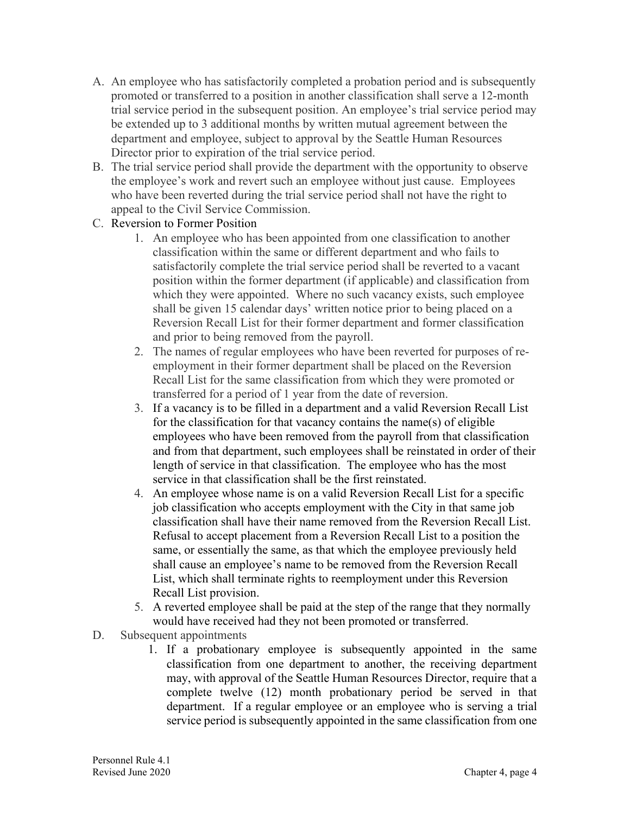- A. An employee who has satisfactorily completed a probation period and is subsequently promoted or transferred to a position in another classification shall serve a 12-month trial service period in the subsequent position. An employee's trial service period may be extended up to 3 additional months by written mutual agreement between the department and employee, subject to approval by the Seattle Human Resources Director prior to expiration of the trial service period.
- B. The trial service period shall provide the department with the opportunity to observe the employee's work and revert such an employee without just cause. Employees who have been reverted during the trial service period shall not have the right to appeal to the Civil Service Commission.
- C. Reversion to Former Position
	- 1. An employee who has been appointed from one classification to another classification within the same or different department and who fails to satisfactorily complete the trial service period shall be reverted to a vacant position within the former department (if applicable) and classification from which they were appointed. Where no such vacancy exists, such employee shall be given 15 calendar days' written notice prior to being placed on a Reversion Recall List for their former department and former classification and prior to being removed from the payroll.
	- 2. The names of regular employees who have been reverted for purposes of reemployment in their former department shall be placed on the Reversion Recall List for the same classification from which they were promoted or transferred for a period of 1 year from the date of reversion.
	- 3. If a vacancy is to be filled in a department and a valid Reversion Recall List for the classification for that vacancy contains the name(s) of eligible employees who have been removed from the payroll from that classification and from that department, such employees shall be reinstated in order of their length of service in that classification. The employee who has the most service in that classification shall be the first reinstated.
	- 4. An employee whose name is on a valid Reversion Recall List for a specific job classification who accepts employment with the City in that same job classification shall have their name removed from the Reversion Recall List. Refusal to accept placement from a Reversion Recall List to a position the same, or essentially the same, as that which the employee previously held shall cause an employee's name to be removed from the Reversion Recall List, which shall terminate rights to reemployment under this Reversion Recall List provision.
	- 5. A reverted employee shall be paid at the step of the range that they normally would have received had they not been promoted or transferred.
- D. Subsequent appointments
	- 1. If a probationary employee is subsequently appointed in the same classification from one department to another, the receiving department may, with approval of the Seattle Human Resources Director, require that a complete twelve (12) month probationary period be served in that department. If a regular employee or an employee who is serving a trial service period is subsequently appointed in the same classification from one